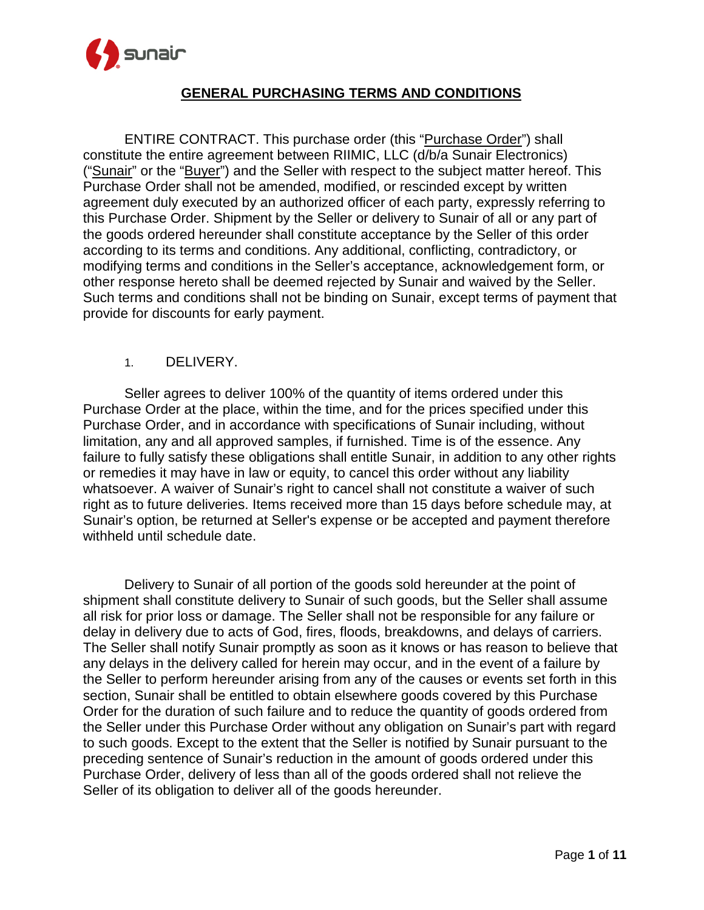

ENTIRE CONTRACT. This purchase order (this "Purchase Order") shall constitute the entire agreement between RIIMIC, LLC (d/b/a Sunair Electronics) ("Sunair" or the "Buyer") and the Seller with respect to the subject matter hereof. This Purchase Order shall not be amended, modified, or rescinded except by written agreement duly executed by an authorized officer of each party, expressly referring to this Purchase Order. Shipment by the Seller or delivery to Sunair of all or any part of the goods ordered hereunder shall constitute acceptance by the Seller of this order according to its terms and conditions. Any additional, conflicting, contradictory, or modifying terms and conditions in the Seller's acceptance, acknowledgement form, or other response hereto shall be deemed rejected by Sunair and waived by the Seller. Such terms and conditions shall not be binding on Sunair, except terms of payment that provide for discounts for early payment.

#### 1. DELIVERY.

Seller agrees to deliver 100% of the quantity of items ordered under this Purchase Order at the place, within the time, and for the prices specified under this Purchase Order, and in accordance with specifications of Sunair including, without limitation, any and all approved samples, if furnished. Time is of the essence. Any failure to fully satisfy these obligations shall entitle Sunair, in addition to any other rights or remedies it may have in law or equity, to cancel this order without any liability whatsoever. A waiver of Sunair's right to cancel shall not constitute a waiver of such right as to future deliveries. Items received more than 15 days before schedule may, at Sunair's option, be returned at Seller's expense or be accepted and payment therefore withheld until schedule date.

Delivery to Sunair of all portion of the goods sold hereunder at the point of shipment shall constitute delivery to Sunair of such goods, but the Seller shall assume all risk for prior loss or damage. The Seller shall not be responsible for any failure or delay in delivery due to acts of God, fires, floods, breakdowns, and delays of carriers. The Seller shall notify Sunair promptly as soon as it knows or has reason to believe that any delays in the delivery called for herein may occur, and in the event of a failure by the Seller to perform hereunder arising from any of the causes or events set forth in this section, Sunair shall be entitled to obtain elsewhere goods covered by this Purchase Order for the duration of such failure and to reduce the quantity of goods ordered from the Seller under this Purchase Order without any obligation on Sunair's part with regard to such goods. Except to the extent that the Seller is notified by Sunair pursuant to the preceding sentence of Sunair's reduction in the amount of goods ordered under this Purchase Order, delivery of less than all of the goods ordered shall not relieve the Seller of its obligation to deliver all of the goods hereunder.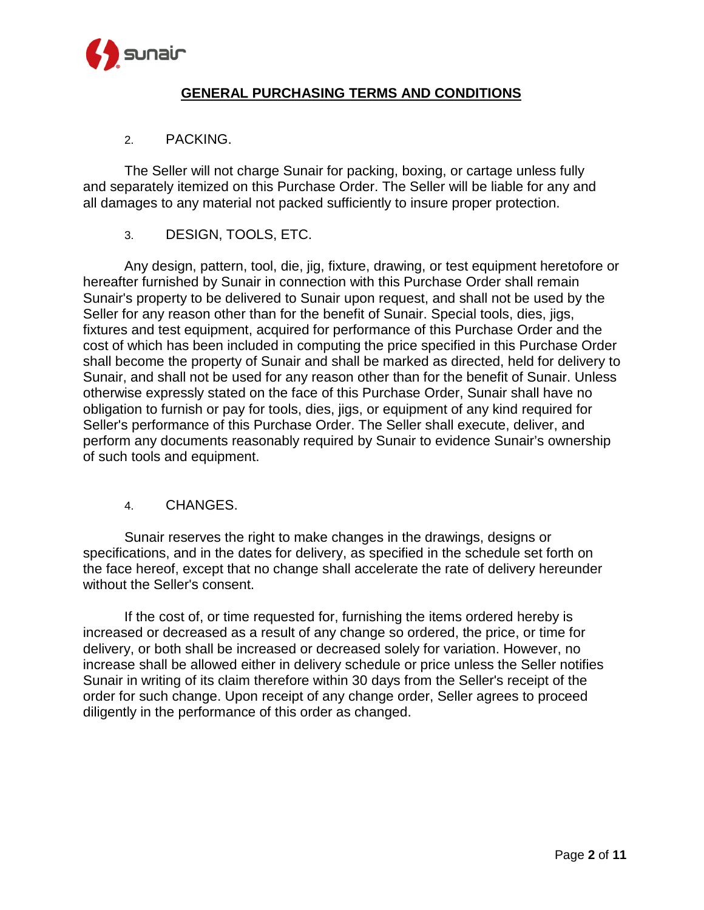

#### 2. PACKING.

The Seller will not charge Sunair for packing, boxing, or cartage unless fully and separately itemized on this Purchase Order. The Seller will be liable for any and all damages to any material not packed sufficiently to insure proper protection.

## 3. DESIGN, TOOLS, ETC.

Any design, pattern, tool, die, jig, fixture, drawing, or test equipment heretofore or hereafter furnished by Sunair in connection with this Purchase Order shall remain Sunair's property to be delivered to Sunair upon request, and shall not be used by the Seller for any reason other than for the benefit of Sunair. Special tools, dies, jigs, fixtures and test equipment, acquired for performance of this Purchase Order and the cost of which has been included in computing the price specified in this Purchase Order shall become the property of Sunair and shall be marked as directed, held for delivery to Sunair, and shall not be used for any reason other than for the benefit of Sunair. Unless otherwise expressly stated on the face of this Purchase Order, Sunair shall have no obligation to furnish or pay for tools, dies, jigs, or equipment of any kind required for Seller's performance of this Purchase Order. The Seller shall execute, deliver, and perform any documents reasonably required by Sunair to evidence Sunair's ownership of such tools and equipment.

## 4. CHANGES.

Sunair reserves the right to make changes in the drawings, designs or specifications, and in the dates for delivery, as specified in the schedule set forth on the face hereof, except that no change shall accelerate the rate of delivery hereunder without the Seller's consent.

If the cost of, or time requested for, furnishing the items ordered hereby is increased or decreased as a result of any change so ordered, the price, or time for delivery, or both shall be increased or decreased solely for variation. However, no increase shall be allowed either in delivery schedule or price unless the Seller notifies Sunair in writing of its claim therefore within 30 days from the Seller's receipt of the order for such change. Upon receipt of any change order, Seller agrees to proceed diligently in the performance of this order as changed.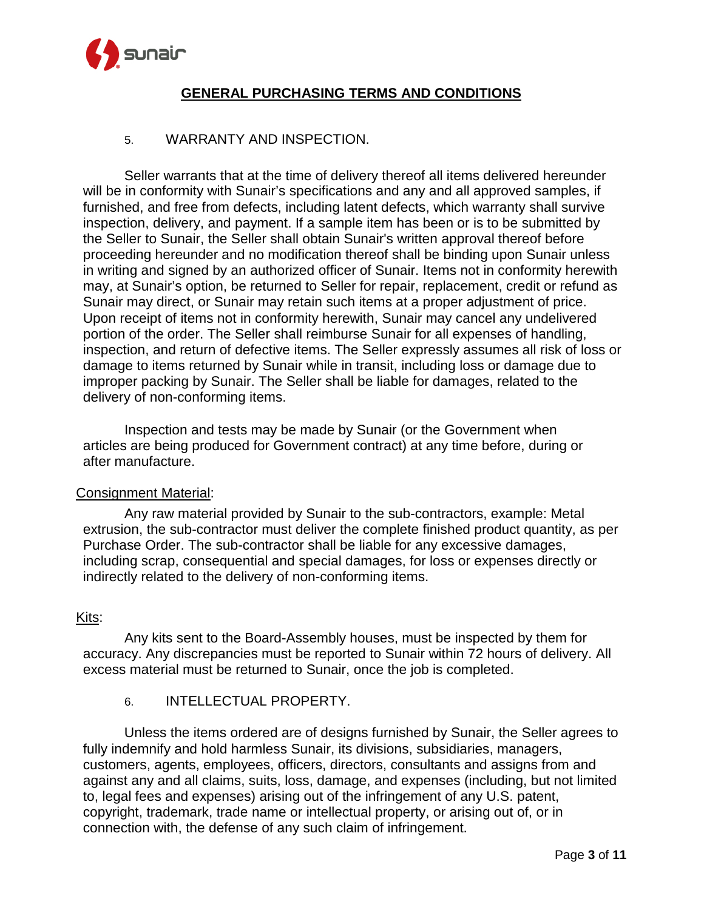

#### 5. WARRANTY AND INSPECTION.

Seller warrants that at the time of delivery thereof all items delivered hereunder will be in conformity with Sunair's specifications and any and all approved samples, if furnished, and free from defects, including latent defects, which warranty shall survive inspection, delivery, and payment. If a sample item has been or is to be submitted by the Seller to Sunair, the Seller shall obtain Sunair's written approval thereof before proceeding hereunder and no modification thereof shall be binding upon Sunair unless in writing and signed by an authorized officer of Sunair. Items not in conformity herewith may, at Sunair's option, be returned to Seller for repair, replacement, credit or refund as Sunair may direct, or Sunair may retain such items at a proper adjustment of price. Upon receipt of items not in conformity herewith, Sunair may cancel any undelivered portion of the order. The Seller shall reimburse Sunair for all expenses of handling, inspection, and return of defective items. The Seller expressly assumes all risk of loss or damage to items returned by Sunair while in transit, including loss or damage due to improper packing by Sunair. The Seller shall be liable for damages, related to the delivery of non-conforming items.

Inspection and tests may be made by Sunair (or the Government when articles are being produced for Government contract) at any time before, during or after manufacture.

#### Consignment Material:

Any raw material provided by Sunair to the sub-contractors, example: Metal extrusion, the sub-contractor must deliver the complete finished product quantity, as per Purchase Order. The sub-contractor shall be liable for any excessive damages, including scrap, consequential and special damages, for loss or expenses directly or indirectly related to the delivery of non-conforming items.

#### Kits:

Any kits sent to the Board-Assembly houses, must be inspected by them for accuracy. Any discrepancies must be reported to Sunair within 72 hours of delivery. All excess material must be returned to Sunair, once the job is completed.

## 6. INTELLECTUAL PROPERTY.

Unless the items ordered are of designs furnished by Sunair, the Seller agrees to fully indemnify and hold harmless Sunair, its divisions, subsidiaries, managers, customers, agents, employees, officers, directors, consultants and assigns from and against any and all claims, suits, loss, damage, and expenses (including, but not limited to, legal fees and expenses) arising out of the infringement of any U.S. patent, copyright, trademark, trade name or intellectual property, or arising out of, or in connection with, the defense of any such claim of infringement.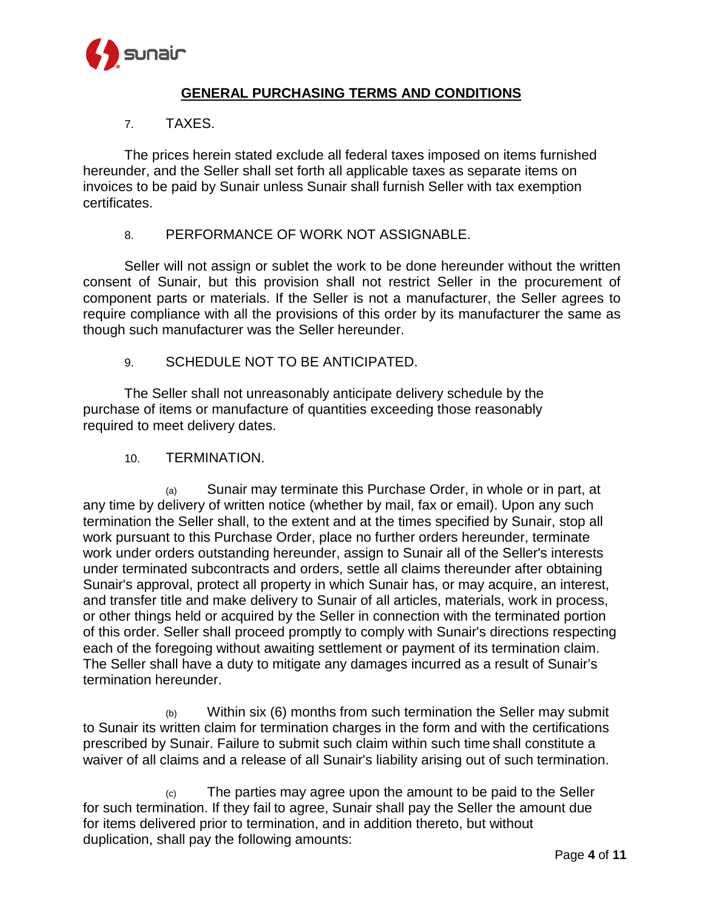

### 7. TAXES.

The prices herein stated exclude all federal taxes imposed on items furnished hereunder, and the Seller shall set forth all applicable taxes as separate items on invoices to be paid by Sunair unless Sunair shall furnish Seller with tax exemption certificates.

### 8. PERFORMANCE OF WORK NOT ASSIGNABLE.

Seller will not assign or sublet the work to be done hereunder without the written consent of Sunair, but this provision shall not restrict Seller in the procurement of component parts or materials. If the Seller is not a manufacturer, the Seller agrees to require compliance with all the provisions of this order by its manufacturer the same as though such manufacturer was the Seller hereunder.

## 9. SCHEDULE NOT TO BE ANTICIPATED.

The Seller shall not unreasonably anticipate delivery schedule by the purchase of items or manufacture of quantities exceeding those reasonably required to meet delivery dates.

#### 10. TERMINATION.

(a) Sunair may terminate this Purchase Order, in whole or in part, at any time by delivery of written notice (whether by mail, fax or email). Upon any such termination the Seller shall, to the extent and at the times specified by Sunair, stop all work pursuant to this Purchase Order, place no further orders hereunder, terminate work under orders outstanding hereunder, assign to Sunair all of the Seller's interests under terminated subcontracts and orders, settle all claims thereunder after obtaining Sunair's approval, protect all property in which Sunair has, or may acquire, an interest, and transfer title and make delivery to Sunair of all articles, materials, work in process, or other things held or acquired by the Seller in connection with the terminated portion of this order. Seller shall proceed promptly to comply with Sunair's directions respecting each of the foregoing without awaiting settlement or payment of its termination claim. The Seller shall have a duty to mitigate any damages incurred as a result of Sunair's termination hereunder.

 $(b)$  Within six (6) months from such termination the Seller may submit to Sunair its written claim for termination charges in the form and with the certifications prescribed by Sunair. Failure to submit such claim within such time shall constitute a waiver of all claims and a release of all Sunair's liability arising out of such termination.

 $(c)$  The parties may agree upon the amount to be paid to the Seller for such termination. If they fail to agree, Sunair shall pay the Seller the amount due for items delivered prior to termination, and in addition thereto, but without duplication, shall pay the following amounts: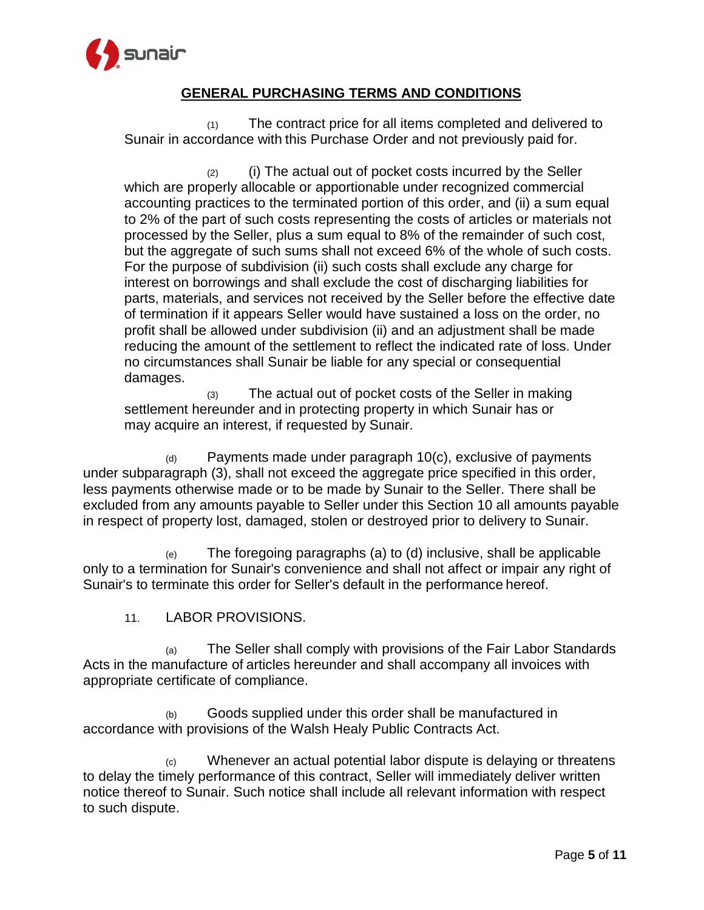

(1) The contract price for all items completed and delivered to Sunair in accordance with this Purchase Order and not previously paid for.

 $(2)$  (i) The actual out of pocket costs incurred by the Seller which are properly allocable or apportionable under recognized commercial accounting practices to the terminated portion of this order, and (ii) a sum equal to 2% of the part of such costs representing the costs of articles or materials not processed by the Seller, plus a sum equal to 8% of the remainder of such cost, but the aggregate of such sums shall not exceed 6% of the whole of such costs. For the purpose of subdivision (ii) such costs shall exclude any charge for interest on borrowings and shall exclude the cost of discharging liabilities for parts, materials, and services not received by the Seller before the effective date of termination if it appears Seller would have sustained a loss on the order, no profit shall be allowed under subdivision (ii) and an adjustment shall be made reducing the amount of the settlement to reflect the indicated rate of loss. Under no circumstances shall Sunair be liable for any special or consequential damages.

(3) The actual out of pocket costs of the Seller in making settlement hereunder and in protecting property in which Sunair has or may acquire an interest, if requested by Sunair.

(d) Payments made under paragraph 10(c), exclusive of payments under subparagraph (3), shall not exceed the aggregate price specified in this order, less payments otherwise made or to be made by Sunair to the Seller. There shall be excluded from any amounts payable to Seller under this Section 10 all amounts payable in respect of property lost, damaged, stolen or destroyed prior to delivery to Sunair.

(e) The foregoing paragraphs (a) to (d) inclusive, shall be applicable only to a termination for Sunair's convenience and shall not affect or impair any right of Sunair's to terminate this order for Seller's default in the performance hereof.

11. LABOR PROVISIONS.

(a) The Seller shall comply with provisions of the Fair Labor Standards Acts in the manufacture of articles hereunder and shall accompany all invoices with appropriate certificate of compliance.

(b) Goods supplied under this order shall be manufactured in accordance with provisions of the Walsh Healy Public Contracts Act.

 $(c)$  Whenever an actual potential labor dispute is delaying or threatens to delay the timely performance of this contract, Seller will immediately deliver written notice thereof to Sunair. Such notice shall include all relevant information with respect to such dispute.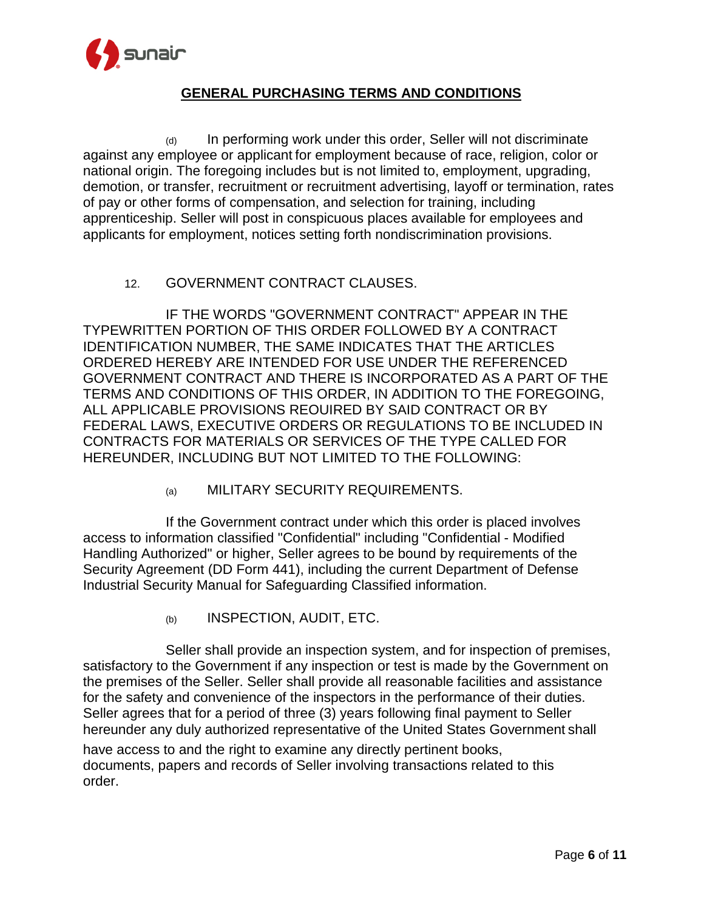

(d) In performing work under this order, Seller will not discriminate against any employee or applicant for employment because of race, religion, color or national origin. The foregoing includes but is not limited to, employment, upgrading, demotion, or transfer, recruitment or recruitment advertising, layoff or termination, rates of pay or other forms of compensation, and selection for training, including apprenticeship. Seller will post in conspicuous places available for employees and applicants for employment, notices setting forth nondiscrimination provisions.

## 12. GOVERNMENT CONTRACT CLAUSES.

IF THE WORDS "GOVERNMENT CONTRACT" APPEAR IN THE TYPEWRITTEN PORTION OF THIS ORDER FOLLOWED BY A CONTRACT IDENTIFICATION NUMBER, THE SAME INDICATES THAT THE ARTICLES ORDERED HEREBY ARE INTENDED FOR USE UNDER THE REFERENCED GOVERNMENT CONTRACT AND THERE IS INCORPORATED AS A PART OF THE TERMS AND CONDITIONS OF THIS ORDER, IN ADDITION TO THE FOREGOING, ALL APPLICABLE PROVISIONS REOUIRED BY SAID CONTRACT OR BY FEDERAL LAWS, EXECUTIVE ORDERS OR REGULATIONS TO BE INCLUDED IN CONTRACTS FOR MATERIALS OR SERVICES OF THE TYPE CALLED FOR HEREUNDER, INCLUDING BUT NOT LIMITED TO THE FOLLOWING:

(a) MILITARY SECURITY REQUIREMENTS.

If the Government contract under which this order is placed involves access to information classified "Confidential" including "Confidential - Modified Handling Authorized" or higher, Seller agrees to be bound by requirements of the Security Agreement (DD Form 441), including the current Department of Defense Industrial Security Manual for Safeguarding Classified information.

(b) INSPECTION, AUDIT, ETC.

Seller shall provide an inspection system, and for inspection of premises, satisfactory to the Government if any inspection or test is made by the Government on the premises of the Seller. Seller shall provide all reasonable facilities and assistance for the safety and convenience of the inspectors in the performance of their duties. Seller agrees that for a period of three (3) years following final payment to Seller hereunder any duly authorized representative of the United States Government shall

have access to and the right to examine any directly pertinent books, documents, papers and records of Seller involving transactions related to this order.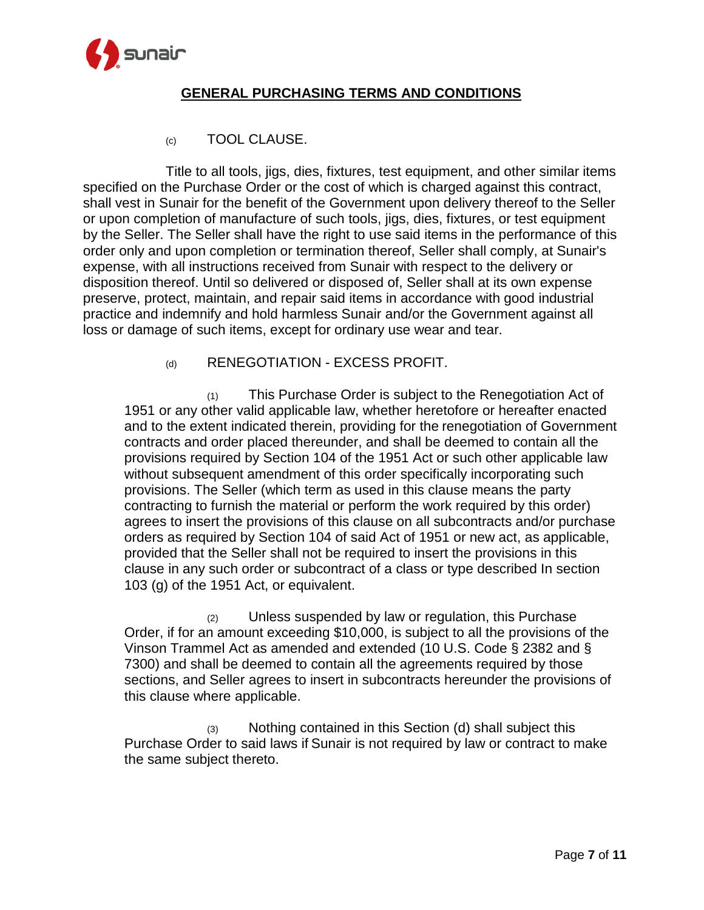

(c) TOOL CLAUSE.

Title to all tools, jigs, dies, fixtures, test equipment, and other similar items specified on the Purchase Order or the cost of which is charged against this contract, shall vest in Sunair for the benefit of the Government upon delivery thereof to the Seller or upon completion of manufacture of such tools, jigs, dies, fixtures, or test equipment by the Seller. The Seller shall have the right to use said items in the performance of this order only and upon completion or termination thereof, Seller shall comply, at Sunair's expense, with all instructions received from Sunair with respect to the delivery or disposition thereof. Until so delivered or disposed of, Seller shall at its own expense preserve, protect, maintain, and repair said items in accordance with good industrial practice and indemnify and hold harmless Sunair and/or the Government against all loss or damage of such items, except for ordinary use wear and tear.

### (d) RENEGOTIATION - EXCESS PROFIT.

(1) This Purchase Order is subject to the Renegotiation Act of 1951 or any other valid applicable law, whether heretofore or hereafter enacted and to the extent indicated therein, providing for the renegotiation of Government contracts and order placed thereunder, and shall be deemed to contain all the provisions required by Section 104 of the 1951 Act or such other applicable law without subsequent amendment of this order specifically incorporating such provisions. The Seller (which term as used in this clause means the party contracting to furnish the material or perform the work required by this order) agrees to insert the provisions of this clause on all subcontracts and/or purchase orders as required by Section 104 of said Act of 1951 or new act, as applicable, provided that the Seller shall not be required to insert the provisions in this clause in any such order or subcontract of a class or type described In section 103 (g) of the 1951 Act, or equivalent.

(2) Unless suspended by law or regulation, this Purchase Order, if for an amount exceeding \$10,000, is subject to all the provisions of the Vinson Trammel Act as amended and extended (10 U.S. Code § 2382 and § 7300) and shall be deemed to contain all the agreements required by those sections, and Seller agrees to insert in subcontracts hereunder the provisions of this clause where applicable.

(3) Nothing contained in this Section (d) shall subject this Purchase Order to said laws if Sunair is not required by law or contract to make the same subject thereto.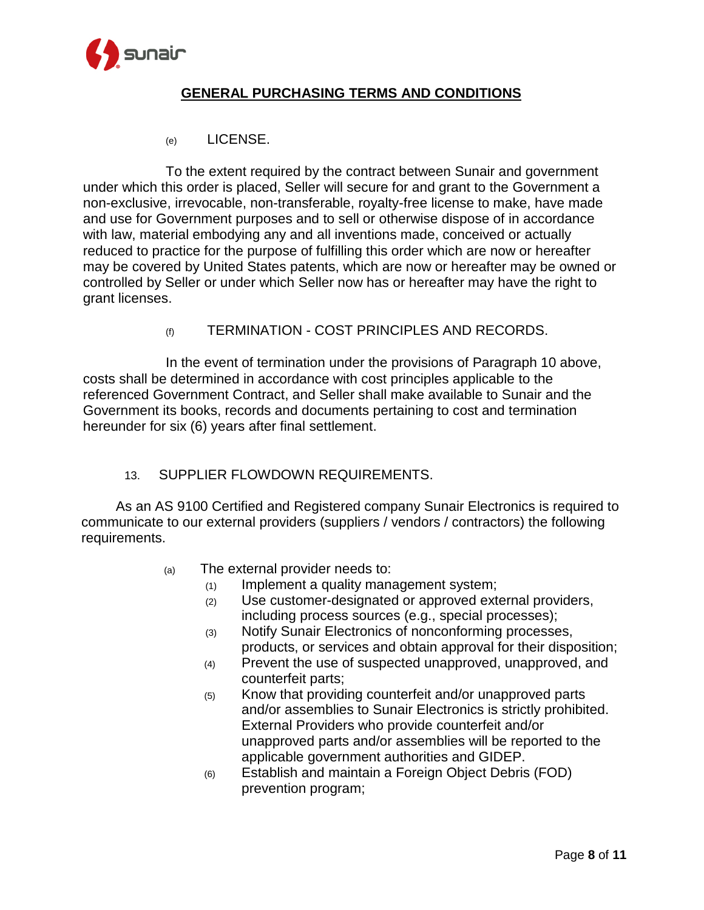

(e) LICENSE.

To the extent required by the contract between Sunair and government under which this order is placed, Seller will secure for and grant to the Government a non-exclusive, irrevocable, non-transferable, royalty-free license to make, have made and use for Government purposes and to sell or otherwise dispose of in accordance with law, material embodying any and all inventions made, conceived or actually reduced to practice for the purpose of fulfilling this order which are now or hereafter may be covered by United States patents, which are now or hereafter may be owned or controlled by Seller or under which Seller now has or hereafter may have the right to grant licenses.

(f) TERMINATION - COST PRINCIPLES AND RECORDS.

In the event of termination under the provisions of Paragraph 10 above, costs shall be determined in accordance with cost principles applicable to the referenced Government Contract, and Seller shall make available to Sunair and the Government its books, records and documents pertaining to cost and termination hereunder for six (6) years after final settlement.

#### 13. SUPPLIER FLOWDOWN REQUIREMENTS.

As an AS 9100 Certified and Registered company Sunair Electronics is required to communicate to our external providers (suppliers / vendors / contractors) the following requirements.

- (a) The external provider needs to:
	- (1) Implement a quality management system;
	- (2) Use customer-designated or approved external providers, including process sources (e.g., special processes);
	- (3) Notify Sunair Electronics of nonconforming processes, products, or services and obtain approval for their disposition;
	- (4) Prevent the use of suspected unapproved, unapproved, and counterfeit parts;
	- (5) Know that providing counterfeit and/or unapproved parts and/or assemblies to Sunair Electronics is strictly prohibited. External Providers who provide counterfeit and/or unapproved parts and/or assemblies will be reported to the applicable government authorities and GIDEP.
	- (6) Establish and maintain a Foreign Object Debris (FOD) prevention program;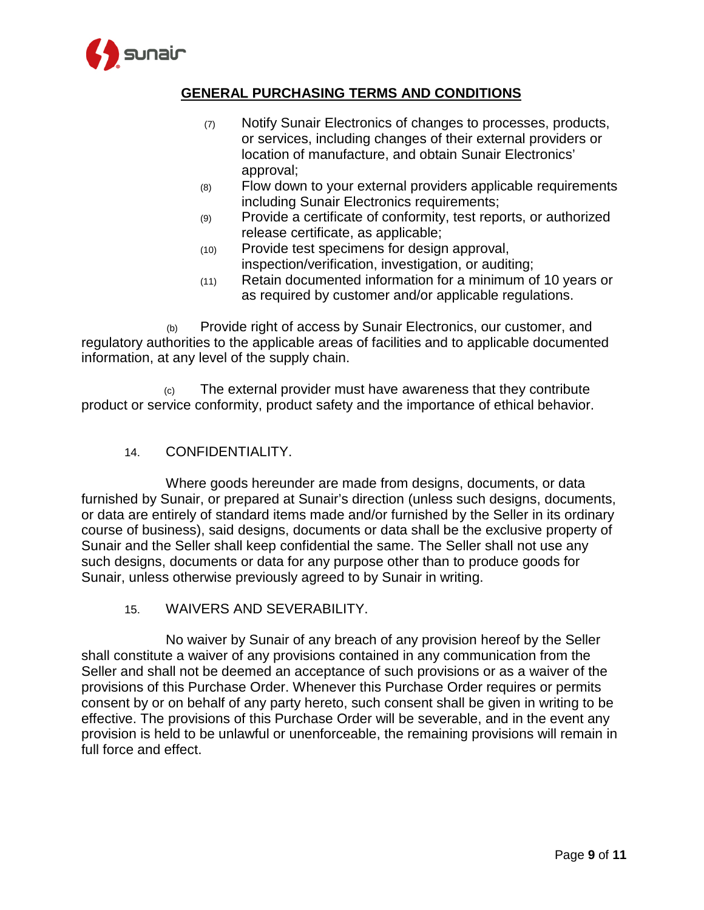

- (7) Notify Sunair Electronics of changes to processes, products, or services, including changes of their external providers or location of manufacture, and obtain Sunair Electronics' approval;
- (8) Flow down to your external providers applicable requirements including Sunair Electronics requirements;
- (9) Provide a certificate of conformity, test reports, or authorized release certificate, as applicable;
- (10) Provide test specimens for design approval, inspection/verification, investigation, or auditing;
- (11) Retain documented information for a minimum of 10 years or as required by customer and/or applicable regulations.

 (b) Provide right of access by Sunair Electronics, our customer, and regulatory authorities to the applicable areas of facilities and to applicable documented information, at any level of the supply chain.

 (c) The external provider must have awareness that they contribute product or service conformity, product safety and the importance of ethical behavior.

## 14. CONFIDENTIALITY.

Where goods hereunder are made from designs, documents, or data furnished by Sunair, or prepared at Sunair's direction (unless such designs, documents, or data are entirely of standard items made and/or furnished by the Seller in its ordinary course of business), said designs, documents or data shall be the exclusive property of Sunair and the Seller shall keep confidential the same. The Seller shall not use any such designs, documents or data for any purpose other than to produce goods for Sunair, unless otherwise previously agreed to by Sunair in writing.

15. WAIVERS AND SEVERABILITY.

No waiver by Sunair of any breach of any provision hereof by the Seller shall constitute a waiver of any provisions contained in any communication from the Seller and shall not be deemed an acceptance of such provisions or as a waiver of the provisions of this Purchase Order. Whenever this Purchase Order requires or permits consent by or on behalf of any party hereto, such consent shall be given in writing to be effective. The provisions of this Purchase Order will be severable, and in the event any provision is held to be unlawful or unenforceable, the remaining provisions will remain in full force and effect.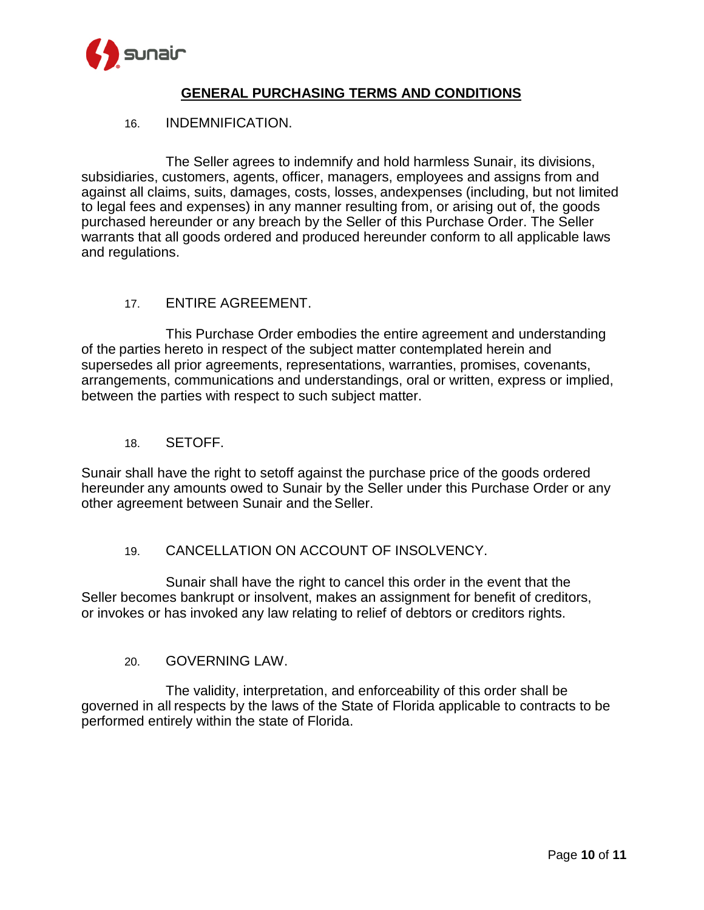

### 16. INDEMNIFICATION.

The Seller agrees to indemnify and hold harmless Sunair, its divisions, subsidiaries, customers, agents, officer, managers, employees and assigns from and against all claims, suits, damages, costs, losses, andexpenses (including, but not limited to legal fees and expenses) in any manner resulting from, or arising out of, the goods purchased hereunder or any breach by the Seller of this Purchase Order. The Seller warrants that all goods ordered and produced hereunder conform to all applicable laws and regulations.

### 17. ENTIRE AGREEMENT.

This Purchase Order embodies the entire agreement and understanding of the parties hereto in respect of the subject matter contemplated herein and supersedes all prior agreements, representations, warranties, promises, covenants, arrangements, communications and understandings, oral or written, express or implied, between the parties with respect to such subject matter.

### 18. SETOFF.

Sunair shall have the right to setoff against the purchase price of the goods ordered hereunder any amounts owed to Sunair by the Seller under this Purchase Order or any other agreement between Sunair and theSeller.

## 19. CANCELLATION ON ACCOUNT OF INSOLVENCY.

Sunair shall have the right to cancel this order in the event that the Seller becomes bankrupt or insolvent, makes an assignment for benefit of creditors, or invokes or has invoked any law relating to relief of debtors or creditors rights.

#### 20. GOVERNING LAW.

The validity, interpretation, and enforceability of this order shall be governed in all respects by the laws of the State of Florida applicable to contracts to be performed entirely within the state of Florida.